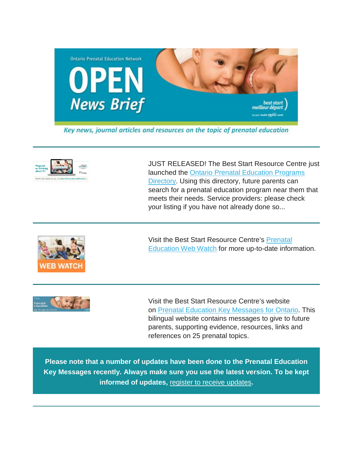

Key news, journal articles and resources on the topic of prenatal education



JUST RELEASED! The Best Start Resource Centre just launched the [Ontario Prenatal Education Programs](http://ontariodirectoryprenataleducation.ca/)  [Directory.](http://ontariodirectoryprenataleducation.ca/) Using this directory, future parents can search for a prenatal education program near them that meets their needs. Service providers: please check your listing if you have not already done so...



Visit the Best Start Resource Centre's [Prenatal](http://www.netvibes.com/bsrcprenatal#General)  [Education Web Watch](http://www.netvibes.com/bsrcprenatal#General) for more up-to-date information.



Visit the Best Start Resource Centre's website on [Prenatal Education Key Messages for Ontario.](http://www.ontarioprenataleducation.ca/) This bilingual website contains messages to give to future parents, supporting evidence, resources, links and references on 25 prenatal topics.

**Please note that a number of updates have been done to the Prenatal Education Key Messages recently. Always make sure you use the latest version. To be kept informed of updates,** [register to receive updates](http://www.ontarioprenataleducation.ca/register/)**.**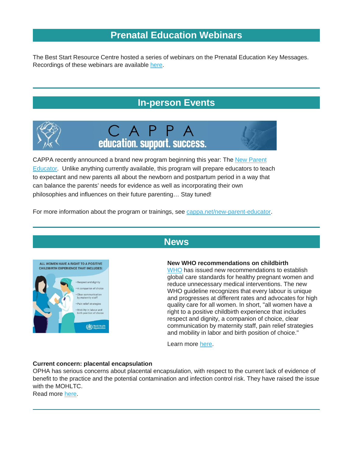# **[Prenatal Education Webinars](http://en.beststart.org/)**

The Best Start Resource Centre hosted a series of webinars on the Prenatal Education Key Messages. Recordings of these webinars are available [here.](http://en.beststart.org/events/webinar-recordings)

# **[In-person Events](http://)**







CAPPA recently announced a brand new program beginning this year: The New Parent [Educator.](http://www.cappa.net/new-parent-educator) Unlike anything currently available, this program will prepare educators to teach to expectant and new parents all about the newborn and postpartum period in a way that can balance the parents' needs for evidence as well as incorporating their own philosophies and influences on their future parenting… Stay tuned!

For more information about the program or trainings, see [cappa.net/new-parent-educator.](http://www.cappa.net/new-parent-educator)



## **[News](http://)**

### **New WHO recommendations on childbirth**

[WHO](http://www.who.int/en/) has issued new recommendations to establish global care standards for healthy pregnant women and reduce unnecessary medical interventions. The new WHO guideline recognizes that every labour is unique and progresses at different rates and advocates for high quality care for all women. In short, "all women have a right to a positive childbirth experience that includes respect and dignity, a companion of choice, clear communication by maternity staff, pain relief strategies and mobility in labor and birth position of choice."

Learn more [here.](http://www.who.int/mediacentre/news/releases/2018/positive-childbirth-experience/en/?utm_source=WHO+List&utm_campaign=25f704929e-EMAIL_CAMPAIGN_2018_01_18&utm_medium=email&utm_term=0_823e9e35c1-25f704929e-266891929)

### **Current concern: placental encapsulation**

OPHA has serious concerns about placental encapsulation, with respect to the current lack of evidence of benefit to the practice and the potential contamination and infection control risk. They have raised the issue with the MOHLTC.

Read more [here.](http://opha.on.ca/getmedia/51f1ebdc-56bd-4da3-a1df-dfe9176cddc1/OPHA-Letter-on-Growing-Demand-for-Placental-Encapsulation-Services-in-Ontario.pdf.aspx?ext=.pdf)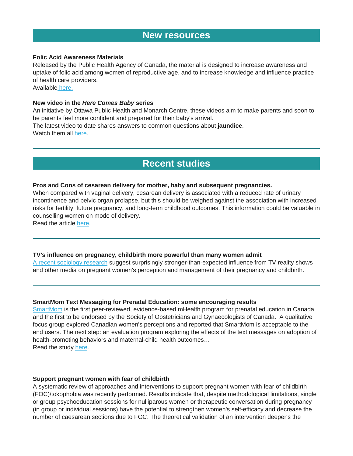## **[New resources](http://)**

#### **Folic Acid Awareness Materials**

Released by the Public Health Agency of Canada, the material is designed to increase awareness and uptake of folic acid among women of reproductive age, and to increase knowledge and influence practice of health care providers.

Available [here.](https://cmnrp.us11.list-manage.com/track/click?u=8a441ace1e52ae6e4762ed865&id=7b572106d8&e=34dfa22874)

### **New video in the** *Here Comes Baby* **series**

An initiative by Ottawa Public Health and Monarch Centre, these videos aim to make parents and soon to be parents feel more confident and prepared for their baby's arrival.

The latest video to date shares answers to common questions about **jaundice**. Watch them all [here.](http://www.parentinginottawa.ca/en/becoming-a-parent-and-pregnancy/here-comes-baby.aspx)

## **[Recent studies](http://)**

#### **Pros and Cons of cesarean delivery for mother, baby and subsequent pregnancies.**

When compared with vaginal delivery, cesarean delivery is associated with a reduced rate of urinary incontinence and pelvic organ prolapse, but this should be weighed against the association with increased risks for fertility, future pregnancy, and long-term childhood outcomes. This information could be valuable in counselling women on mode of delivery.

Read the article [here.](https://www.ncbi.nlm.nih.gov/pmc/articles/PMC5779640/)

### **TV's influence on pregnancy, childbirth more powerful than many women admit**

[A recent sociology research](http://onlinelibrary.wiley.com/doi/10.1111/1467-9566.12658/pdf) suggest surprisingly stronger-than-expected influence from TV reality shows and other media on pregnant women's perception and management of their pregnancy and childbirth.

### **SmartMom Text Messaging for Prenatal Education: some encouraging results**

[SmartMom](https://www.smartmomcanada.ca/) is the first peer-reviewed, evidence-based mHealth program for prenatal education in Canada and the first to be endorsed by the Society of Obstetricians and Gynaecologists of Canada. A qualitative focus group explored Canadian women's perceptions and reported that SmartMom is acceptable to the end users. The next step: an evaluation program exploring the effects of the text messages on adoption of health-promoting behaviors and maternal-child health outcomes… Read the study [here.](https://www.ncbi.nlm.nih.gov/pmc/articles/PMC5320393/)

### **Support pregnant women with fear of childbirth**

A systematic review of approaches and interventions to support pregnant women with fear of childbirth (FOC)/tokophobia was recently performed. Results indicate that, despite methodological limitations, single or group psychoeducation sessions for nulliparous women or therapeutic conversation during pregnancy (in group or individual sessions) have the potential to strengthen women's self-efficacy and decrease the number of caesarean sections due to FOC. The theoretical validation of an intervention deepens the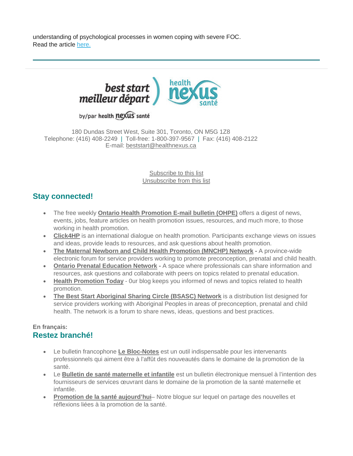understanding of psychological processes in women coping with severe FOC. Read the article [here.](http://www.midwiferyjournal.com/article/S0266-6138(18)30052-4/fulltext?rss=yes)



## by/par health nexus santé

180 Dundas Street West, Suite 301, Toronto, ON M5G 1Z8 Telephone: (416) 408-2249 | Toll-free: 1-800-397-9567 | Fax: (416) 408-2122 E-mail: [beststart@healthnexus.ca](mailto:beststart@healthnexus.ca?subject=Contact%20Us)

> [Subscribe to this list](mailto:open@healthnexus.ca?subject=Subscribe%20to%20OPEN) [Unsubscribe from this list](mailto:open@healthnexus.ca?subject=Unsubscribe%20from%20OPEN)

## **Stay connected!**

- The free weekly **[Ontario Health Promotion E-mail bulletin \(OHPE\)](http://www.ohpe.ca/)** offers a digest of news, events, jobs, feature articles on health promotion issues, resources, and much more, to those working in health promotion.
- **[Click4HP](https://listserv.yorku.ca/archives/click4hp.html)** is an international dialogue on health promotion. Participants exchange views on issues and ideas, provide leads to resources, and ask questions about health promotion.
- **[The Maternal Newborn and Child Health Promotion \(MNCHP\) Network](http://lists.beststart.org/listinfo.cgi/mnchp-beststart.org) -** A province-wide electronic forum for service providers working to promote preconception, prenatal and child health.
- **[Ontario Prenatal Education](http://fluidsurveys.com/surveys/ohpe/subscriptionsopen2015-2016/) Network -** A space where professionals can share information and resources, ask questions and collaborate with peers on topics related to prenatal education.
- **[Health Promotion Today](http://en.healthnexus.ca/)** 0ur blog keeps you informed of news and topics related to health promotion.
- **[The Best Start Aboriginal Sharing Circle \(BSASC\) Network](http://lists.beststart.org/listinfo.cgi/bsasc-beststart.org)** is a distribution list designed for service providers working with Aboriginal Peoples in areas of preconception, prenatal and child health. The network is a forum to share news, ideas, questions and best practices.

### **En français: Restez branché!**

- Le bulletin francophone **[Le Bloc-Notes](http://www.leblocnotes.ca/)** est un outil indispensable pour les intervenants professionnels qui aiment être à l'affût des nouveautés dans le domaine de la promotion de la santé.
- Le **[Bulletin de santé maternelle et infantile](http://fr.meilleurdepart.org/services/echange_d_information/bulletin-de-sant%C3%A9-maternelle-et-infantile)** est un bulletin électronique mensuel à l'intention des fournisseurs de services œuvrant dans le domaine de la promotion de la santé maternelle et infantile.
- **[Promotion de la santé aujourd'hui](http://fr.nexussante.ca/)** Notre blogue sur lequel on partage des nouvelles et réflexions liées à la promotion de la santé.